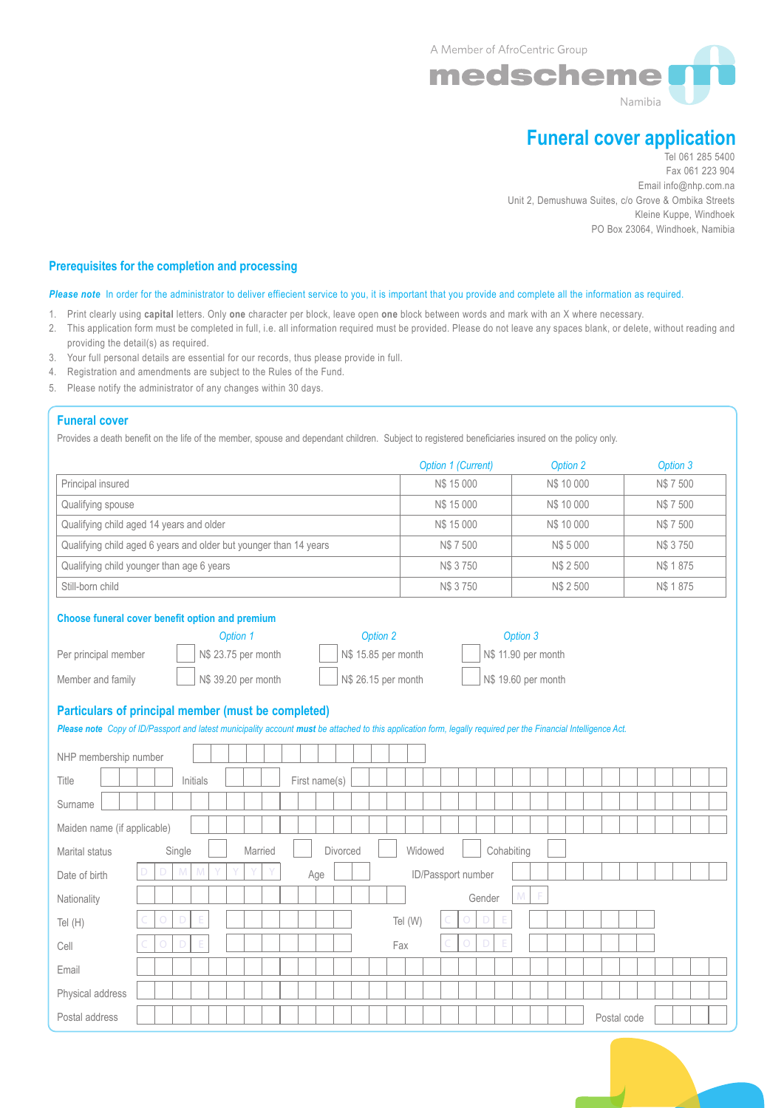A Member of AfroCentric Group



# **Funeral cover application**

Tel 061 285 5400 Fax 061 223 904 Email info@nhp.com.na Unit 2, Demushuwa Suites, c/o Grove & Ombika Streets Kleine Kuppe, Windhoek PO Box 23064, Windhoek, Namibia

# **Prerequisites for the completion and processing**

# Please note In order for the administrator to deliver effiecient service to you, it is important that you provide and complete all the information as required.

- 1. Print clearly using **capital** letters. Only **one** character per block, leave open **one** block between words and mark with an X where necessary.
- 2. This application form must be completed in full, i.e. all information required must be provided. Please do not leave any spaces blank, or delete, without reading and providing the detail(s) as required.
- 3. Your full personal details are essential for our records, thus please provide in full.
- 4. Registration and amendments are subject to the Rules of the Fund.
- 5. Please notify the administrator of any changes within 30 days.

# **Funeral cover**

Provides a death benefit on the life of the member, spouse and dependant children. Subject to registered beneficiaries insured on the policy only.

|                                                                   | Option 1 (Current) | Option 2   | Option 3 |
|-------------------------------------------------------------------|--------------------|------------|----------|
| Principal insured                                                 | N\$ 15 000         | N\$ 10 000 | N\$7500  |
| Qualifying spouse                                                 | N\$ 15 000         | N\$ 10 000 | N\$7500  |
| Qualifying child aged 14 years and older                          | N\$ 15 000         | N\$ 10 000 | N\$7500  |
| Qualifying child aged 6 years and older but younger than 14 years | N\$7500            | N\$ 5 000  | N\$ 3750 |
| Qualifying child younger than age 6 years                         | N\$ 3750           | N\$ 2 500  | N\$ 1875 |
| Still-born child                                                  | N\$ 3750           | N\$ 2 500  | N\$ 1875 |

#### **Choose funeral cover benefit option and premium**

|                      | $\sim$ $\sim$ $\sim$ $\sim$ $\sim$ |                     | <u>vwuvii v</u>     |
|----------------------|------------------------------------|---------------------|---------------------|
| Per principal member | N\$ 23.75 per month                | N\$ 15.85 per month | N\$ 11.90 per month |
| Member and family    | N\$ 39.20 per month                | N\$ 26.15 per month | N\$ 19.60 per month |

*Option 1 Option 2 Option 3*

# **Particulars of principal member (must be completed)**

| Please note Copy of ID/Passport and latest municipality account must be attached to this application form, legally required per the Financial Intelligence Act. |            |             |         |               |          |     |         |                    |        |            |   |   |  |             |  |  |  |
|-----------------------------------------------------------------------------------------------------------------------------------------------------------------|------------|-------------|---------|---------------|----------|-----|---------|--------------------|--------|------------|---|---|--|-------------|--|--|--|
| NHP membership number                                                                                                                                           |            |             |         |               |          |     |         |                    |        |            |   |   |  |             |  |  |  |
| Title                                                                                                                                                           |            | Initials    |         | First name(s) |          |     |         |                    |        |            |   |   |  |             |  |  |  |
| Surname                                                                                                                                                         |            |             |         |               |          |     |         |                    |        |            |   |   |  |             |  |  |  |
| Maiden name (if applicable)                                                                                                                                     |            |             |         |               |          |     |         |                    |        |            |   |   |  |             |  |  |  |
| Marital status                                                                                                                                                  | Single     |             | Married |               | Divorced |     | Widowed |                    |        | Cohabiting |   |   |  |             |  |  |  |
| Date of birth                                                                                                                                                   | Ð          | M<br>M      | Y<br>Y  | Age           |          |     |         | ID/Passport number |        |            |   |   |  |             |  |  |  |
| Nationality                                                                                                                                                     |            |             |         |               |          |     |         |                    | Gender |            | M | F |  |             |  |  |  |
| Tel (H)                                                                                                                                                         |            | Ε<br>$\Box$ |         |               |          |     | Tel (W) |                    | $\Box$ |            |   |   |  |             |  |  |  |
| Cell                                                                                                                                                            | $\bigcirc$ | Ε<br>Ð      |         |               |          | Fax |         |                    |        |            |   |   |  |             |  |  |  |
| Email                                                                                                                                                           |            |             |         |               |          |     |         |                    |        |            |   |   |  |             |  |  |  |
| Physical address                                                                                                                                                |            |             |         |               |          |     |         |                    |        |            |   |   |  |             |  |  |  |
| Postal address                                                                                                                                                  |            |             |         |               |          |     |         |                    |        |            |   |   |  | Postal code |  |  |  |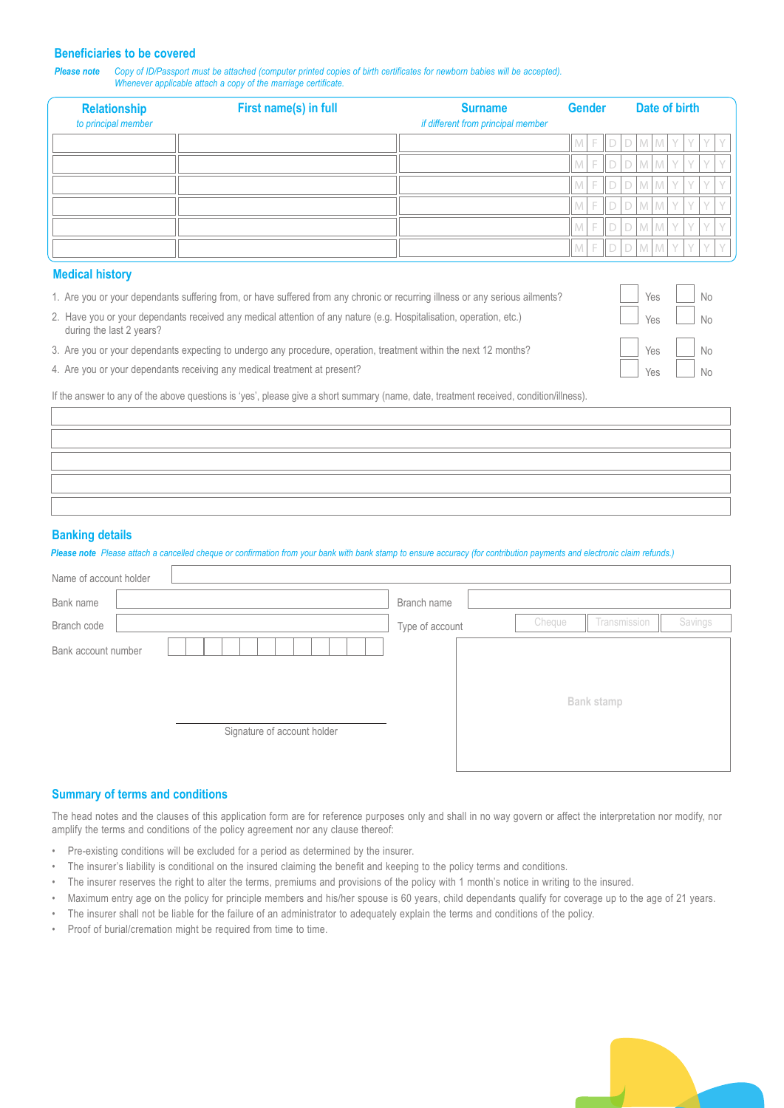#### **Beneficiaries to be covered**

*Please note Copy of ID/Passport must be attached (computer printed copies of birth certificates for newborn babies will be accepted). Whenever applicable attach a copy of the marriage certificate.*

| <b>Relationship</b><br>to principal member | First name(s) in full | <b>Surname</b><br>if different from principal member |                     |  | <b>Gender</b> | Date of birth |  |  |                             |  |     |  |
|--------------------------------------------|-----------------------|------------------------------------------------------|---------------------|--|---------------|---------------|--|--|-----------------------------|--|-----|--|
|                                            |                       |                                                      | $M$ F D D M $M$ Y Y |  |               |               |  |  |                             |  | YY  |  |
|                                            |                       |                                                      | $M$ F D D M $M$ Y Y |  |               |               |  |  |                             |  | YY  |  |
|                                            |                       |                                                      | $M$ F D D M $M$ Y Y |  |               |               |  |  |                             |  | YY  |  |
|                                            |                       |                                                      | $M$ F D D M $M$ Y Y |  |               |               |  |  |                             |  | YY  |  |
|                                            |                       |                                                      |                     |  |               |               |  |  | $F   D   D   M   M   Y   Y$ |  | Y Y |  |
|                                            |                       |                                                      |                     |  |               |               |  |  | $F$ $D$ $D$ $M$ $M$ $Y$     |  | YY  |  |

### **Medical history**

|  |  |  |  |  | 1. Are you or your dependants suffering from, or have suffered from any chronic or recurring illness or any serious ailments? |  |
|--|--|--|--|--|-------------------------------------------------------------------------------------------------------------------------------|--|
|--|--|--|--|--|-------------------------------------------------------------------------------------------------------------------------------|--|

- 2. Have you or your dependants received any medical attention of any nature (e.g. Hospitalisation, operation, etc.) during the last 2 years?
- 3. Are you or your dependants expecting to undergo any procedure, operation, treatment within the next 12 months?
- 4. Are you or your dependants receiving any medical treatment at present?

If the answer to any of the above questions is 'yes', please give a short summary (name, date, treatment received, condition/illness).

#### **Banking details**

*Please note Please attach a cancelled cheque or confirmation from your bank with bank stamp to ensure accuracy (for contribution payments and electronic claim refunds.)*

| Name of account holder                             |                 |        |              |         |
|----------------------------------------------------|-----------------|--------|--------------|---------|
| Bank name                                          | Branch name     |        |              |         |
| Branch code                                        | Type of account | Cheque | Transmission | Savings |
| Bank account number<br>Signature of account holder |                 |        | Bank stamp   |         |

# **Summary of terms and conditions**

The head notes and the clauses of this application form are for reference purposes only and shall in no way govern or affect the interpretation nor modify, nor amplify the terms and conditions of the policy agreement nor any clause thereof:

- Pre-existing conditions will be excluded for a period as determined by the insurer.
- The insurer's liability is conditional on the insured claiming the benefit and keeping to the policy terms and conditions.
- The insurer reserves the right to alter the terms, premiums and provisions of the policy with 1 month's notice in writing to the insured.
- Maximum entry age on the policy for principle members and his/her spouse is 60 years, child dependants qualify for coverage up to the age of 21 years.
- The insurer shall not be liable for the failure of an administrator to adequately explain the terms and conditions of the policy.
- Proof of burial/cremation might be required from time to time.



Yes Yes

No No

No  $N<sub>0</sub>$ 

Yes Yes